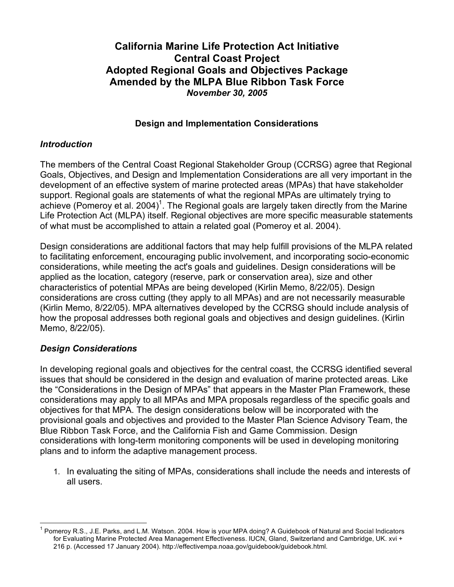# **California Marine Life Protection Act Initiative Central Coast Project Adopted Regional Goals and Objectives Package Amended by the MLPA Blue Ribbon Task Force** *November 30, 2005*

# **Design and Implementation Considerations**

# *Introduction*

The members of the Central Coast Regional Stakeholder Group (CCRSG) agree that Regional Goals, Objectives, and Design and Implementation Considerations are all very important in the development of an effective system of marine protected areas (MPAs) that have stakeholder support. Regional goals are statements of what the regional MPAs are ultimately trying to achieve (Pomeroy et al. 2004)<sup>1</sup>. The Regional goals are largely taken directly from the Marine Life Protection Act (MLPA) itself. Regional objectives are more specific measurable statements of what must be accomplished to attain a related goal (Pomeroy et al. 2004).

Design considerations are additional factors that may help fulfill provisions of the MLPA related to facilitating enforcement, encouraging public involvement, and incorporating socio-economic considerations, while meeting the act's goals and guidelines. Design considerations will be applied as the location, category (reserve, park or conservation area), size and other characteristics of potential MPAs are being developed (Kirlin Memo, 8/22/05). Design considerations are cross cutting (they apply to all MPAs) and are not necessarily measurable (Kirlin Memo, 8/22/05). MPA alternatives developed by the CCRSG should include analysis of how the proposal addresses both regional goals and objectives and design guidelines. (Kirlin Memo, 8/22/05).

#### *Design Considerations*

In developing regional goals and objectives for the central coast, the CCRSG identified several issues that should be considered in the design and evaluation of marine protected areas. Like the "Considerations in the Design of MPAs" that appears in the Master Plan Framework, these considerations may apply to all MPAs and MPA proposals regardless of the specific goals and objectives for that MPA. The design considerations below will be incorporated with the provisional goals and objectives and provided to the Master Plan Science Advisory Team, the Blue Ribbon Task Force, and the California Fish and Game Commission. Design considerations with long-term monitoring components will be used in developing monitoring plans and to inform the adaptive management process.

1. In evaluating the siting of MPAs, considerations shall include the needs and interests of all users.

<sup>1</sup> Pomeroy R.S., J.E. Parks, and L.M. Watson. 2004. How is your MPA doing? <sup>A</sup> Guidebook of Natural and Social Indicators for Evaluating Marine Protected Area Management Effectiveness. IUCN, Gland, Switzerland and Cambridge, UK. xvi + 216 p. (Accessed 17 January 2004). http://effectivempa.noaa.gov/guidebook/guidebook.html.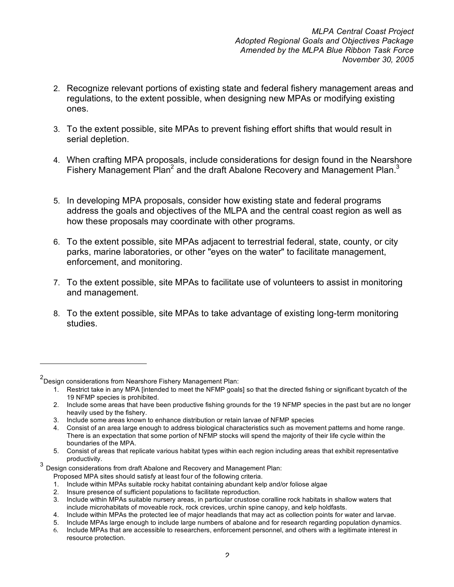- 2. Recognize relevant portions of existing state and federal fishery management areas and regulations, to the extent possible, when designing new MPAs or modifying existing ones.
- 3. To the extent possible, site MPAs to prevent fishing effort shifts that would result in serial depletion.
- 4. When crafting MPA proposals, include considerations for design found in the Nearshore Fishery Management Plan<sup>2</sup> and the draft Abalone Recovery and Management Plan.<sup>3</sup>
- 5. In developing MPA proposals, consider how existing state and federal programs address the goals and objectives of the MLPA and the central coast region as well as how these proposals may coordinate with other programs.
- 6. To the extent possible, site MPAs adjacent to terrestrial federal, state, county, or city parks, marine laboratories, or other "eyes on the water" to facilitate management, enforcement, and monitoring.
- 7. To the extent possible, site MPAs to facilitate use of volunteers to assist in monitoring and management.
- 8. To the extent possible, site MPAs to take advantage of existing long-term monitoring studies.

 $\overline{a}$ 

<sup>&</sup>lt;sup>2</sup>Design considerations from Nearshore Fishery Management Plan:

<sup>1.</sup> Restrict take in any MPA [intended to meet the NFMP goals] so that the directed fishing or significant bycatch of the 19 NFMP species is prohibited.

<sup>2.</sup> Include some areas that have been productive fishing grounds for the 19 NFMP species in the past but are no longer heavily used by the fishery.

<sup>3.</sup> Include some areas known to enhance distribution or retain larvae of NFMP species

<sup>4.</sup> Consist of an area large enough to address biological characteristics such as movement patterns and home range. There is an expectation that some portion of NFMP stocks will spend the majority of their life cycle within the boundaries of the MPA.

<sup>5.</sup> Consist of areas that replicate various habitat types within each region including areas that exhibit representative

<sup>3</sup> Design considerations from draft Abalone and Recovery and Management Plan:

Proposed MPA sites should satisfy at least four of the following criteria.

<sup>1.</sup> Include within MPAs suitable rocky habitat containing abundant kelp and/or foliose algae

<sup>2.</sup> Insure presence of sufficient populations to facilitate reproduction.

<sup>3.</sup> Include within MPAs suitable nursery areas, in particular crustose coralline rock habitats in shallow waters that include microhabitats of moveable rock, rock crevices, urchin spine canopy, and kelp holdfasts.

<sup>4.</sup> Include within MPAs the protected lee of major headlands that may act as collection points for water and larvae.

<sup>5.</sup> Include MPAs large enough to include large numbers of abalone and for research regarding population dynamics.

<sup>6.</sup> Include MPAs that are accessible to researchers, enforcement personnel, and others with a legitimate interest in resource protection.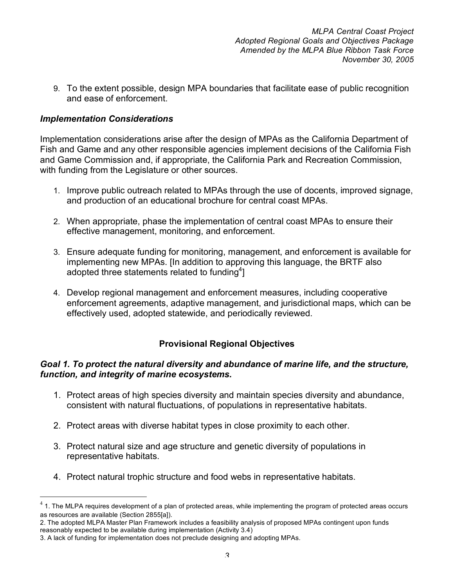9. To the extent possible, design MPA boundaries that facilitate ease of public recognition and ease of enforcement.

# *Implementation Considerations*

Implementation considerations arise after the design of MPAs as the California Department of Fish and Game and any other responsible agencies implement decisions of the California Fish and Game Commission and, if appropriate, the California Park and Recreation Commission, with funding from the Legislature or other sources.

- 1. Improve public outreach related to MPAs through the use of docents, improved signage, and production of an educational brochure for central coast MPAs.
- 2. When appropriate, phase the implementation of central coast MPAs to ensure their effective management, monitoring, and enforcement.
- 3. Ensure adequate funding for monitoring, management, and enforcement is available for implementing new MPAs. [In addition to approving this language, the BRTF also adopted three statements related to funding<sup>4</sup>]
- 4. Develop regional management and enforcement measures, including cooperative enforcement agreements, adaptive management, and jurisdictional maps, which can be effectively used, adopted statewide, and periodically reviewed.

# **Provisional Regional Objectives**

#### *Goal 1. To protect the natural diversity and abundance of marine life, and the structure, function, and integrity of marine ecosystems.*

- 1. Protect areas of high species diversity and maintain species diversity and abundance, consistent with natural fluctuations, of populations in representative habitats.
- 2. Protect areas with diverse habitat types in close proximity to each other.
- 3. Protect natural size and age structure and genetic diversity of populations in representative habitats.
- 4. Protect natural trophic structure and food webs in representative habitats.

 $4$  1. The MLPA requires development of a plan of protected areas, while implementing the program of protected areas occurs as resources are available (Section 2855[a]).

<sup>2.</sup> The adopted MLPA Master Plan Framework includes a feasibility analysis of proposed MPAs contingent upon funds reasonably expected to be available during implementation (Activity 3.4)

<sup>3.</sup> A lack of funding for implementation does not preclude designing and adopting MPAs.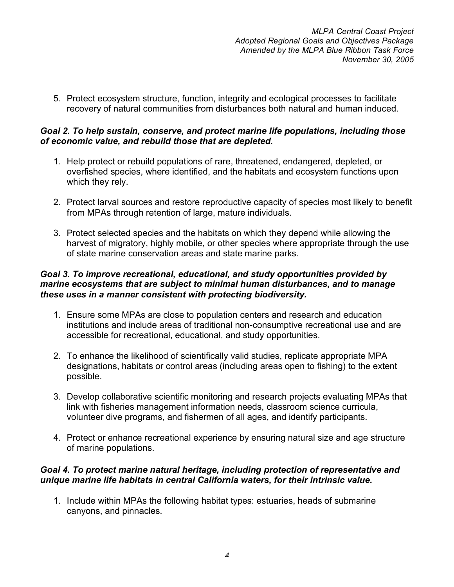5. Protect ecosystem structure, function, integrity and ecological processes to facilitate recovery of natural communities from disturbances both natural and human induced.

#### *Goal 2. To help sustain, conserve, and protect marine life populations, including those of economic value, and rebuild those that are depleted.*

- 1. Help protect or rebuild populations of rare, threatened, endangered, depleted, or overfished species, where identified, and the habitats and ecosystem functions upon which they rely.
- 2. Protect larval sources and restore reproductive capacity of species most likely to benefit from MPAs through retention of large, mature individuals.
- 3. Protect selected species and the habitats on which they depend while allowing the harvest of migratory, highly mobile, or other species where appropriate through the use of state marine conservation areas and state marine parks.

# *Goal 3. To improve recreational, educational, and study opportunities provided by marine ecosystems that are subject to minimal human disturbances, and to manage these uses in a manner consistent with protecting biodiversity.*

- 1. Ensure some MPAs are close to population centers and research and education institutions and include areas of traditional non-consumptive recreational use and are accessible for recreational, educational, and study opportunities.
- 2. To enhance the likelihood of scientifically valid studies, replicate appropriate MPA designations, habitats or control areas (including areas open to fishing) to the extent possible.
- 3. Develop collaborative scientific monitoring and research projects evaluating MPAs that link with fisheries management information needs, classroom science curricula, volunteer dive programs, and fishermen of all ages, and identify participants.
- 4. Protect or enhance recreational experience by ensuring natural size and age structure of marine populations.

# *Goal 4. To protect marine natural heritage, including protection of representative and unique marine life habitats in central California waters, for their intrinsic value.*

1. Include within MPAs the following habitat types: estuaries, heads of submarine canyons, and pinnacles.